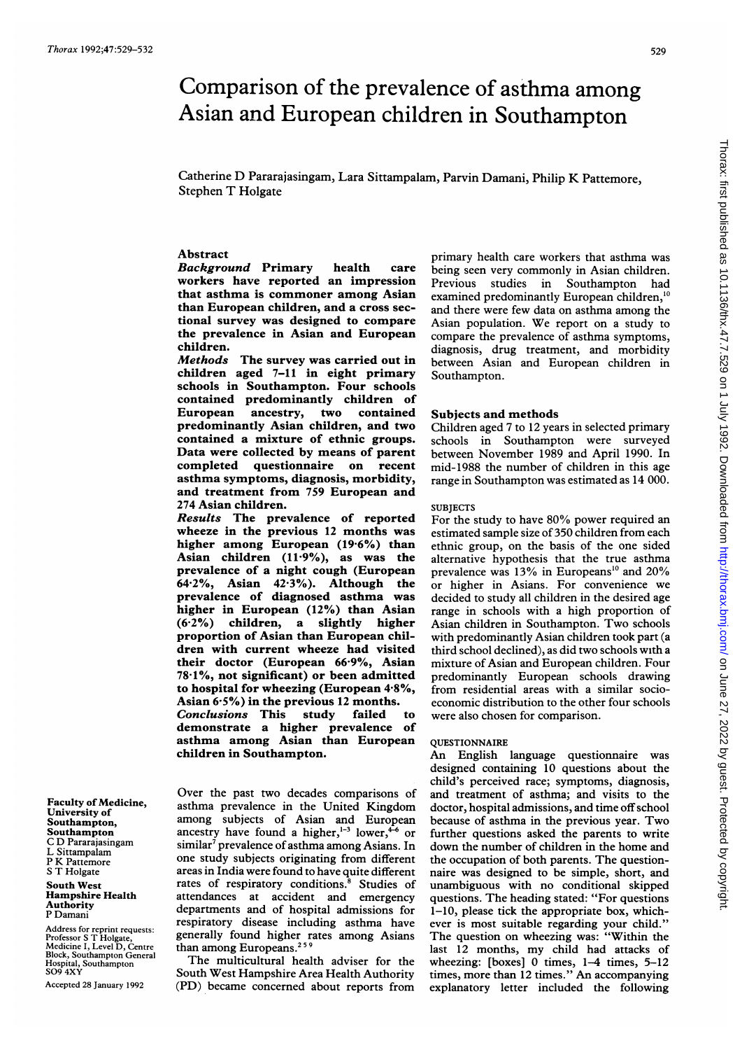# Comparison of the prevalence of asthma among Asian and European children in Southampton

Catherine D Pararajasingam, Lara Sittampalam, Parvin Damani, Philip K Pattemore, Stephen T Holgate

# Abstract

Background Primary health care workers have reported an impression that asthma is commoner among Asian than European children, and a cross sectional survey was designed to compare the prevalence in Asian and European children.

Methods The survey was carried out in children aged 7-11 in eight primary schools in Southampton. Four schools contained predominantly children of European ancestry, two contained predominantly Asian children, and two contained a mixture of ethnic groups. Data were collected by means of parent completed questionnaire on recent asthma symptoms, diagnosis, morbidity, and treatment from 759 European and 274 Asian children.

Results The prevalence of reported wheeze in the previous 12 months was higher among European (19-6%) than Asian children  $(11.9\%)$ , as was the prevalence of a night cough (European 64-2%, Asian 42-3%). Although the prevalence of diagnosed asthma was higher in European (12%) than Asian (6-2%) children, a slightly higher proportion of Asian than European children with current wheeze had visited their doctor (European 66-9%, Asian 78-1%, not significant) or been admitted to hospital for wheezing (European 4-8%, Asian 6-5%) in the previous 12 months. Conclusions This study failed to demonstrate a higher prevalence of asthma among Asian than European

children in Southampton.

Over the past two decades comparisons of asthma prevalence in the United Kingdom among subjects of Asian and European ancestry have found a higher, $1-3$  lower, $4-6$  or similar<sup>7</sup> prevalence of asthma among Asians. In one study subjects originating from different areas in India were found to have quite different rates of respiratory conditions.<sup>8</sup> Studies of attendances at accident and emergency departments and of hospital admissions for respiratory disease including asthma have generally found higher rates among Asians than among Europeans.<sup>259</sup>

The multicultural health adviser for the South West Hampshire Area Health Authority (PD) became concerned about reports from

primary health care workers that asthma was being seen very commonly in Asian children. Previous studies in Southampton had examined predominantly European children,<sup>10</sup> and there were few data on asthma among the Asian population. We report on <sup>a</sup> study to compare the prevalence of asthma symptoms, diagnosis, drug treatment, and morbidity between Asian and European children in Southampton.

# Subjects and methods

Children aged 7 to 12 years in selected primary schools in Southampton were surveyed between November 1989 and April 1990. In mid-1988 the number of children in this age range in Southampton was estimated as 14 000.

# **SUBJECTS**

For the study to have 80% power required an estimated sample size of 350 children from each ethnic group, on the basis of the one sided alternative hypothesis that the true asthma prevalence was 13% in Europeans<sup>10</sup> and 20% or higher in Asians. For convenience we decided to study all children in the desired age range in schools with a high proportion of Asian children in Southampton. Two schools with predominantly Asian children took part (a third school declined), as did two schools with a mixture of Asian and European children. Four predominantly European schools drawing from residential areas with a similar socioeconomic distribution to the other four schools were also chosen for comparison.

### QUESTIONNAIRE

An English language questionnaire was designed containing 10 questions about the child's perceived race; symptoms, diagnosis, and treatment of asthma; and visits to the doctor, hospital admissions, and time off school because of asthma in the previous year. Two further questions asked the parents to write down the number of children in the home and the occupation of both parents. The questionnaire was designed to be simple, short, and unambiguous with no conditional skipped questions. The heading stated: "For questions 1-10, please tick the appropriate box, whichever is most suitable regarding your child." The question on wheezing was: "Within the last <sup>12</sup> months, my child had attacks of wheezing: [boxes] 0 times, 1-4 times, 5-12 times, more than <sup>12</sup> times." An accompanying explanatory letter included the following

Faculty of Medicine, University of Southampton, Southampton C D Pararajasingam L Sittampalam P K Pattemore S T Holgate South West Hampshire Health

Authority P Damani

Address for reprint requests: Professor <sup>S</sup> T Holgate, Medicine I, Level D, Centre Block, Southampton General Hospital, Southampton S09 4XY

Accepted 28 January 1992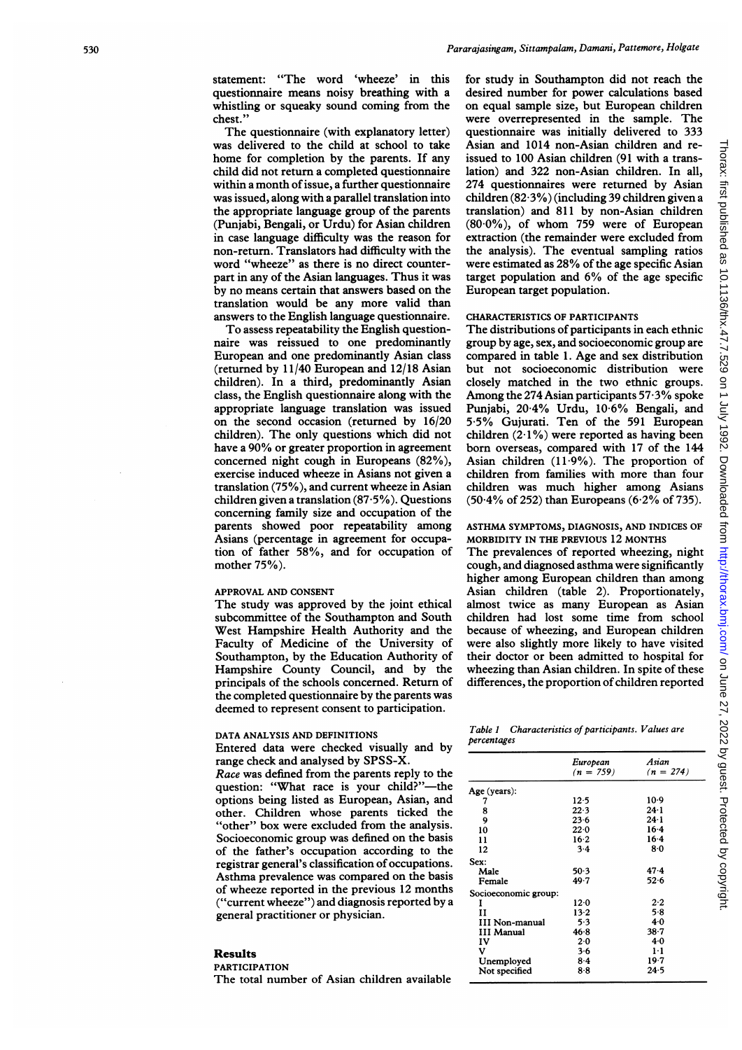statement: "The word 'wheeze' in this questionnaire means noisy breathing with a whistling or squeaky sound coming from the chest.'

The questionnaire (with explanatory letter) was delivered to the child at school to take home for completion by the parents. If any child did not return a completed questionnaire within a month ofissue, a further questionnaire was issued, along with a parallel translation into the appropriate language group of the parents (Punjabi, Bengali, or Urdu) for Asian children in case language difficulty was the reason for non-return. Translators had difficulty with the word "wheeze" as there is no direct counterpart in any of the Asian languages. Thus it was by no means certain that answers based on the translation would be any more valid than answers to the English language questionnaire.

To assess repeatability the English questionnaire was reissued to one predominantly European and one predominantly Asian class (returned by 11/40 European and 12/18 Asian children). In a third, predominantly Asian class, the English questionnaire along with the appropriate language translation was issued on the second occasion (retumed by 16/20 children). The only questions which did not have <sup>a</sup> 90% or greater proportion in agreement concerned night cough in Europeans (82%), exercise induced wheeze in Asians not given a translation (75%), and current wheeze in Asian children given a translation (87-5%). Questions concerning family size and occupation of the parents showed poor repeatability among Asians (percentage in agreement for occupation of father 58%, and for occupation of mother 75%).

#### APPROVAL AND CONSENT

The study was approved by the joint ethical subcommittee of the Southampton and South West Hampshire Health Authority and the Faculty of Medicine of the University of Southampton, by the Education Authority of Hampshire County Council, and by the principals of the schools concerned. Return of the completed questionnaire by the parents was deemed to represent consent to participation.

#### DATA ANALYSIS AND DEFINITIONS

Entered data were checked visually and by range check and analysed by SPSS-X.

Race was defined from the parents reply to the question: "What race is your child?"---the options being listed as European, Asian, and other. Children whose parents ticked the "other" box were excluded from the analysis. Socioeconomic group was defined on the basis of the father's occupation according to the registrar general's classification of occupations. Asthma prevalence was compared on the basis of wheeze reported in the previous 12 months ("current wheeze") and diagnosis reported by a general practitioner or physician.

# Results

PARTICIPATION

The total number of Asian children available

for study in Southampton did not reach the desired number for power calculations based on equal sample size, but European children were overrepresented in the sample. The questionnaire was initially delivered to 333 Asian and 1014 non-Asian children and reissued to 100 Asian children (91 with a translation) and 322 non-Asian children. In all, 274 questionnaires were returned by Asian children (82-3%) (including 39 children given a translation) and 811 by non-Asian children (80-0%), of whom 759 were of European extraction (the remainder were excluded from the analysis). The eventual sampling ratios were estimated as 28% of the age specific Asian target population and 6% of the age specific European target population.

# CHARACTERISTICS OF PARTICIPANTS

The distributions of participants in each ethnic group by age, sex, and socioeconomic group are compared in table 1. Age and sex distribution but not socioeconomic distribution were closely matched in the two ethnic groups. Among the 274 Asian participants  $57.3\%$  spoke Punjabi, 20-4% Urdu, 10-6% Bengali, and 5.5% Gujurati. Ten of the 591 European children  $(2.1\%)$  were reported as having been born overseas, compared with 17 of the 144 Asian children (11 9%). The proportion of children from families with more than four children was much higher among Asians  $(50.4\% \text{ of } 252)$  than Europeans  $(6.2\% \text{ of } 735)$ .

ASTHMA SYMPTOMS, DIAGNOSIS, AND INDICES OF MORBIDITY IN THE PREVIOUS 12 MONTHS

The prevalences of reported wheezing, night cough, and diagnosed asthma were significantly higher among European children than among Asian children (table 2). Proportionately, almost twice as many European as Asian children had lost some time from school because of wheezing, and European children were also slightly more likely to have visited their doctor or been admitted to hospital for wheezing than Asian children. In spite of these differences, the proportion of children reported

Table 1 Characteristics of participants. Values are percentages

|                       | European<br>$(n = 759)$ | Asian<br>$(n = 274)$ |
|-----------------------|-------------------------|----------------------|
| Age (years):          |                         |                      |
| 7                     | $12-5$                  | $10-9$               |
| 8                     | 22.3                    | $24 \cdot 1$         |
| 9                     | 23.6                    | $24 - 1$             |
| 10                    | 22.0                    | $16-4$               |
| 11                    | $16 - 2$                | $16-4$               |
| 12                    | $3-4$                   | 80                   |
| Sex:                  |                         |                      |
| Male                  | 50.3                    | 47.4                 |
| Female                | 49 7                    | $52 - 6$             |
| Socioeconomic group:  |                         |                      |
| 1                     | 12.0                    | 2.2                  |
| н                     | $13-2$                  | 5.8                  |
| <b>III Non-manual</b> | 5.3                     | 4.0                  |
| <b>III Manual</b>     | 46.8                    | 38.7                 |
| IV                    | 2.0                     | 40                   |
| v                     | 3.6                     | $1 \cdot 1$          |
| Unemployed            | 84                      | 19.7                 |
| Not specified         | 8.8                     | 24.5                 |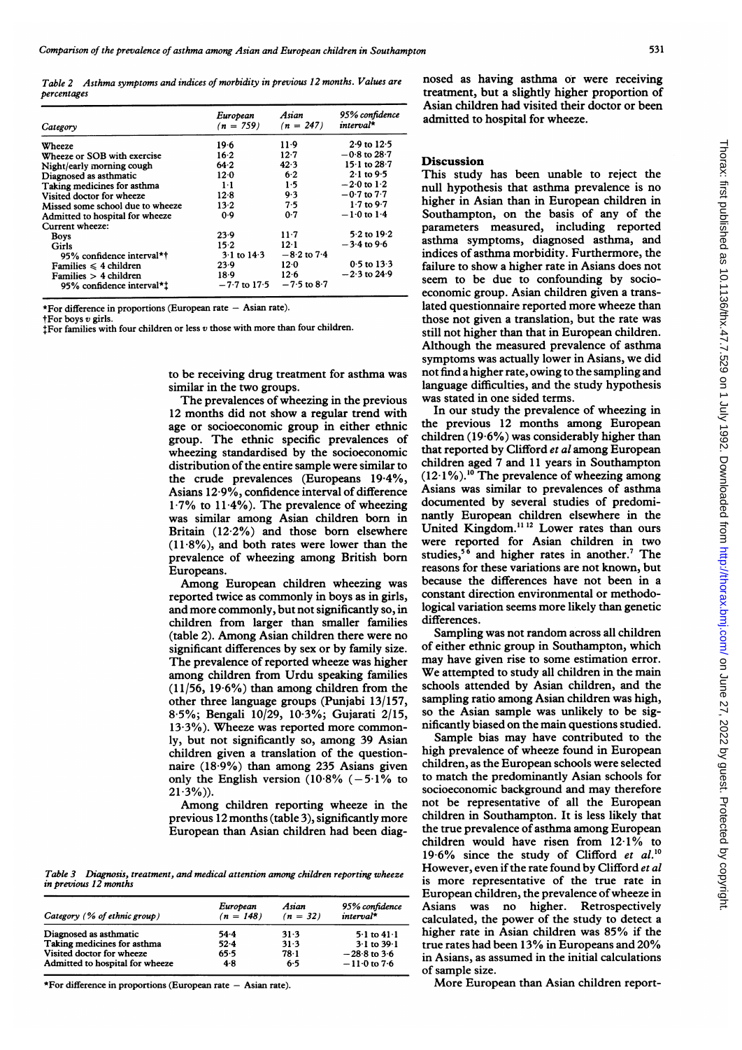Table 2 Asthma symptoms and indices of morbidity in previous 12 months. Values are percentages

| Category                         | European<br>$(n = 759)$ | Asian<br>$(n = 247)$ | 95% confidence<br>interval*  |
|----------------------------------|-------------------------|----------------------|------------------------------|
| Wheeze                           | 19.6                    | $11-9$               | $2.9$ to $12.5$              |
| Wheeze or SOB with exercise      | $16 - 2$                | 12.7                 | $-0.8$ to $28.7$             |
| Night/early morning cough        | 64.2                    | 42.3                 | 15 $\cdot$ 1 to 28 $\cdot$ 7 |
| Diagnosed as asthmatic           | $12-0$                  | $6 - 2$              | $2.1$ to 9.5                 |
| Taking medicines for asthma      | $1-1$                   | 1.5                  | $-2.0$ to $1.2$              |
| Visited doctor for wheeze        | 12.8                    | 9.3                  | $-0.7$ to $7.7$              |
| Missed some school due to wheeze | $13-2$                  | 7.5                  | $1.7$ to 9.7                 |
| Admitted to hospital for wheeze  | 0.9                     | 0.7                  | $-1.0$ to $1.4$              |
| Current wheeze:                  |                         |                      |                              |
| <b>Boys</b>                      | $23-9$                  | $11-7$               | $5.2$ to $19.2$              |
| Girls                            | 15.2                    | 12.1                 | $-3.4$ to 9.6                |
| 95% confidence interval*†        | $3.1$ to $14.3$         | $-8.2$ to $7.4$      |                              |
| Families $\leq 4$ children       | 23.9                    | 12.0                 | $0.5$ to $13.3$              |
| Families $> 4$ children          | $18-9$                  | 12.6                 | $-2.3$ to 24.9               |
| 95% confidence interval*!        | $-7.7$ to 17.5          | $-7.5$ to $8.7$      |                              |

\*For difference in proportions (European rate  $-$  Asian rate).

tFor boys v girls.

+For families with four children or less v those with more than four children.

to be receiving drug treatment for asthma was similar in the two groups.

The prevalences of wheezing in the previous 12 months did not show a regular trend with age or socioeconomic group in either ethnic group. The ethnic specific prevalences of wheezing standardised by the socioeconomic distribution of the entire sample were similar to the crude prevalences (Europeans 19-4%, Asians 12-9%, confidence interval of difference  $1.7\%$  to  $11.4\%$ ). The prevalence of wheezing was similar among Asian children bom in Britain (12-2%) and those bom elsewhere (11-8%), and both rates were lower than the prevalence of wheezing among British bom Europeans.

Among European children wheezing was reported twice as commonly in boys as in girls, and more commonly, but not significantly so, in children from larger than smaller families (table 2). Among Asian children there were no significant differences by sex or by family size. The prevalence of reported wheeze was higher among children from Urdu speaking families  $(11/56, 19.6\%)$  than among children from the other three language groups (Punjabi 13/157, 8-5%; Bengali 10/29, 10-3%; Gujarati 2/15, 13-3%). Wheeze was reported more commonly, but not significantly so, among 39 Asian children given a translation of the questionnaire (18-9%) than among 235 Asians given only the English version (10.8%  $(-5.1\%$  to  $21.3\%)$ .

Among children reporting wheeze in the previous 12 months (table 3), significantly more European than Asian children had been diag-

Table 3 Diagnosis, treatment, and medical attention among children reporting wheeze in previous 12 months

| Category (% of ethnic group)    | European<br>$(n = 148)$ | Asian<br>$(n = 32)$ | 95% confidence<br>interval* |
|---------------------------------|-------------------------|---------------------|-----------------------------|
| Diagnosed as asthmatic          | -54 - 4                 | 31.3                | $5.1$ to $41.1$             |
| Taking medicines for asthma     | $52 - 4$                | 31.3                | $3 \cdot 1$ to $39 \cdot 1$ |
| Visited doctor for wheeze       | 65.5                    | 78-1                | $-28.8$ to 3.6              |
| Admitted to hospital for wheeze | 4.8                     | 6.5                 | $-11.0$ to $7.6$            |

\*For difference in proportions (European rate  $-$  Asian rate).

nosed as having asthma or were receiving treatment, but a slightly higher proportion of Asian children had visited their doctor or been admitted to hospital for wheeze.

# **Discussion**

This study has been unable to reject the null hypothesis that asthma prevalence is no higher in Asian than in European children in Southampton, on the basis of any of the parameters measured, including reported asthma symptoms, diagnosed asthma, and indices of asthma morbidity. Furthermore, the failure to show a higher rate in Asians does not seem to be due to confounding by socioeconomic group. Asian children given a translated questionnaire reported more wheeze than those not given a translation, but the rate was still not higher than that in European children. Although the measured prevalence of asthma symptoms was actually lower in Asians, we did not find a higher rate, owing to the sampling and language difficulties, and the study hypothesis was stated in one sided terms.

In our study the prevalence of wheezing in the previous 12 months among European children  $(19.6\%)$  was considerably higher than that reported by Clifford et al among European children aged 7 and 11 years in Southampton  $(12.1\%)$ .<sup>10</sup> The prevalence of wheezing among Asians was similar to prevalences of asthma documented by several studies of predominantly European children elsewhere in the United Kingdom.<sup>1112</sup> Lower rates than ours were reported for Asian children in two studies,<sup>56</sup> and higher rates in another.<sup>7</sup> The reasons for these variations are not known, but because the differences have not been in a constant direction environmental or methodological variation seems more likely than genetic differences.

Sampling was not random across all children of either ethnic group in Southampton, which may have given rise to some estimation error. We attempted to study all children in the main schools attended by Asian children, and the sampling ratio among Asian children was high, so the Asian sample was unlikely to be significantly biased on the main questions studied.

Sample bias may have contributed to the high prevalence of wheeze found in European children, as the European schools were selected to match the predominantly Asian schools for socioeconomic background and may therefore not be representative of all the European children in Southampton. It is less likely that the true prevalence of asthma among European children would have risen from 12-1% to 19.6% since the study of Clifford et  $al$ .<sup>10</sup> However, even if the rate found by Clifford et al is more representative of the true rate in European children, the prevalence of wheeze in Asians was no higher. Retrospectively calculated, the power of the study to detect a higher rate in Asian children was 85% if the true rates had been 13% in Europeans and 20% in Asians, as assumed in the initial calculations of sample size.

More European than Asian children report-